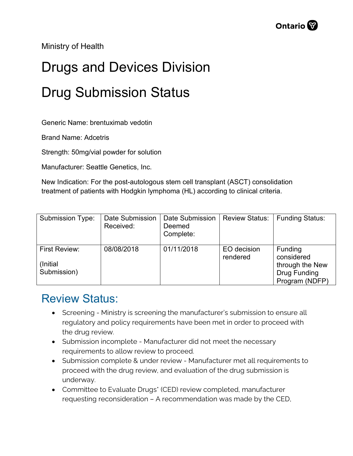Ministry of Health

## Drugs and Devices Division Drug Submission Status

Generic Name: brentuximab vedotin

Brand Name: Adcetris

Strength: 50mg/vial powder for solution

Manufacturer: Seattle Genetics, Inc.

New Indication: For the post-autologous stem cell transplant (ASCT) consolidation treatment of patients with Hodgkin lymphoma (HL) according to clinical criteria.

| <b>Submission Type:</b>                  | Date Submission<br>Received: | <b>Date Submission</b><br>Deemed<br>Complete: | <b>Review Status:</b>   | Funding Status:                                                                          |
|------------------------------------------|------------------------------|-----------------------------------------------|-------------------------|------------------------------------------------------------------------------------------|
| First Review:<br>(Initial<br>Submission) | 08/08/2018                   | 01/11/2018                                    | EO decision<br>rendered | <b>Funding</b><br>considered<br>through the New<br><b>Drug Funding</b><br>Program (NDFP) |

## Review Status:

- Screening Ministry is screening the manufacturer's submission to ensure all regulatory and policy requirements have been met in order to proceed with the drug review.
- Submission incomplete Manufacturer did not meet the necessary requirements to allow review to proceed.
- Submission complete & under review Manufacturer met all requirements to proceed with the drug review, and evaluation of the drug submission is underway.
- Committee to Evaluate Drugs\* (CED) review completed, manufacturer requesting reconsideration – A recommendation was made by the CED,